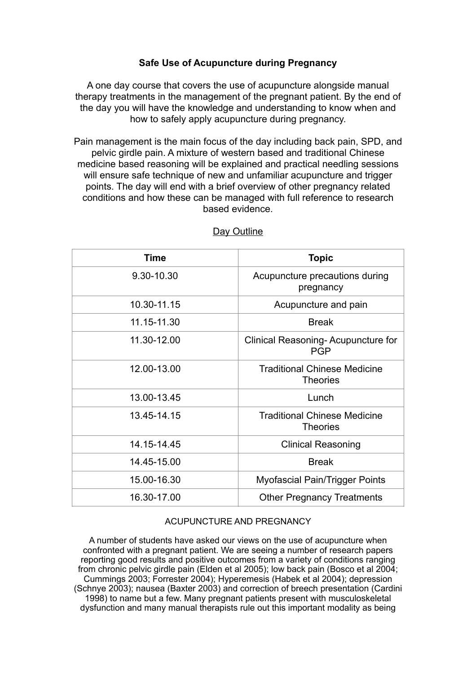## **Safe Use of Acupuncture during Pregnancy**

A one day course that covers the use of acupuncture alongside manual therapy treatments in the management of the pregnant patient. By the end of the day you will have the knowledge and understanding to know when and how to safely apply acupuncture during pregnancy.

Pain management is the main focus of the day including back pain, SPD, and pelvic girdle pain. A mixture of western based and traditional Chinese medicine based reasoning will be explained and practical needling sessions will ensure safe technique of new and unfamiliar acupuncture and trigger points. The day will end with a brief overview of other pregnancy related conditions and how these can be managed with full reference to research based evidence.

| Time        | <b>Topic</b>                                           |
|-------------|--------------------------------------------------------|
| 9.30-10.30  | Acupuncture precautions during<br>pregnancy            |
| 10.30-11.15 | Acupuncture and pain                                   |
| 11.15-11.30 | <b>Break</b>                                           |
| 11.30-12.00 | Clinical Reasoning-Acupuncture for<br><b>PGP</b>       |
| 12.00-13.00 | <b>Traditional Chinese Medicine</b><br><b>Theories</b> |
| 13.00-13.45 | Lunch                                                  |
| 13.45-14.15 | <b>Traditional Chinese Medicine</b><br><b>Theories</b> |
| 14.15-14.45 | <b>Clinical Reasoning</b>                              |
| 14.45-15.00 | <b>Break</b>                                           |
| 15.00-16.30 | Myofascial Pain/Trigger Points                         |
| 16.30-17.00 | <b>Other Pregnancy Treatments</b>                      |

## Day Outline

## ACUPUNCTURE AND PREGNANCY

A number of students have asked our views on the use of acupuncture when confronted with a pregnant patient. We are seeing a number of research papers reporting good results and positive outcomes from a variety of conditions ranging from chronic pelvic girdle pain (Elden et al 2005); low back pain (Bosco et al 2004; Cummings 2003; Forrester 2004); Hyperemesis (Habek et al 2004); depression (Schnye 2003); nausea (Baxter 2003) and correction of breech presentation (Cardini 1998) to name but a few. Many pregnant patients present with musculoskeletal dysfunction and many manual therapists rule out this important modality as being